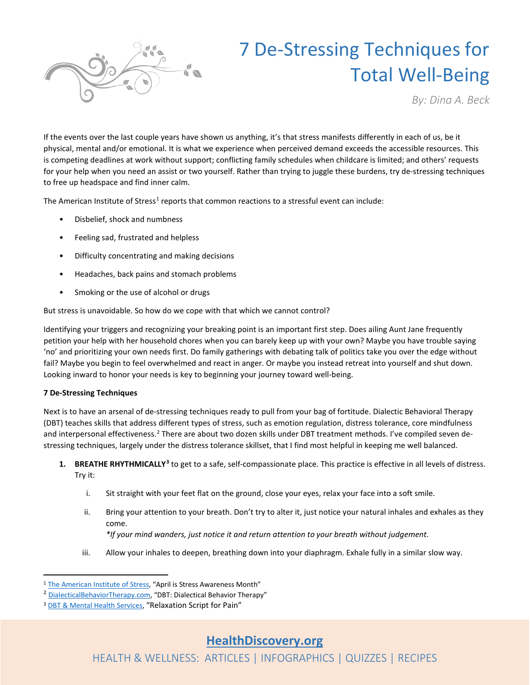

# 7 De-Stressing Techniques for Total Well-Being

*By: Dina A. Beck*

If the events over the last couple years have shown us anything, it's that stress manifests differently in each of us, be it physical, mental and/or emotional. It is what we experience when perceived demand exceeds the accessible resources. This is competing deadlines at work without support; conflicting family schedules when childcare is limited; and others' requests for your help when you need an assist or two yourself. Rather than trying to juggle these burdens, try de-stressing techniques to free up headspace and find inner calm.

The American Institute of Stress<sup>[1](#page-0-0)</sup> reports that common reactions to a stressful event can include:

- Disbelief, shock and numbness
- Feeling sad, frustrated and helpless
- Difficulty concentrating and making decisions
- Headaches, back pains and stomach problems
- Smoking or the use of alcohol or drugs

But stress is unavoidable. So how do we cope with that which we cannot control?

Identifying your triggers and recognizing your breaking point is an important first step. Does ailing Aunt Jane frequently petition your help with her household chores when you can barely keep up with your own? Maybe you have trouble saying 'no' and prioritizing your own needs first. Do family gatherings with debating talk of politics take you over the edge without fail? Maybe you begin to feel overwhelmed and react in anger. Or maybe you instead retreat into yourself and shut down. Looking inward to honor your needs is key to beginning your journey toward well-being.

### **7 De-Stressing Techniques**

Next is to have an arsenal of de-stressing techniques ready to pull from your bag of fortitude. Dialectic Behavioral Therapy (DBT) teaches skills that address different types of stress, such as emotion regulation, distress tolerance, core mindfulness and interpersonal effectiveness.<sup>[2](#page-0-1)</sup> There are about two dozen skills under DBT treatment methods. I've compiled seven destressing techniques, largely under the distress tolerance skillset, that I find most helpful in keeping me well balanced.

- **1. BREATHE RHYTHMICALLY[3](#page-0-2)** to get to a safe, self-compassionate place. This practice is effective in all levels of distress. Try it:
	- i. Sit straight with your feet flat on the ground, close your eyes, relax your face into a soft smile.
	- ii. Bring your attention to your breath. Don't try to alter it, just notice your natural inhales and exhales as they come.

*\*If your mind wanders, just notice it and return attention to your breath without judgement.*

iii. Allow your inhales to deepen, breathing down into your diaphragm. Exhale fully in a similar slow way.

<span id="page-0-0"></span><sup>1</sup> [The American Institute of Stress,](https://www.stress.org/april-is-stress-awareness-month) "April is Stress Awareness Month"

<span id="page-0-1"></span><sup>&</sup>lt;sup>2</sup> [DialecticalBehaviorTherapy.com,](https://dialecticalbehaviortherapy.com/) "DBT: Dialectical Behavior Therapy"

<span id="page-0-2"></span><sup>3</sup> [DBT & Mental Health Services,](https://www.mhs-dbt.com/blog/pain-relaxation-script/) "Relaxation Script for Pain"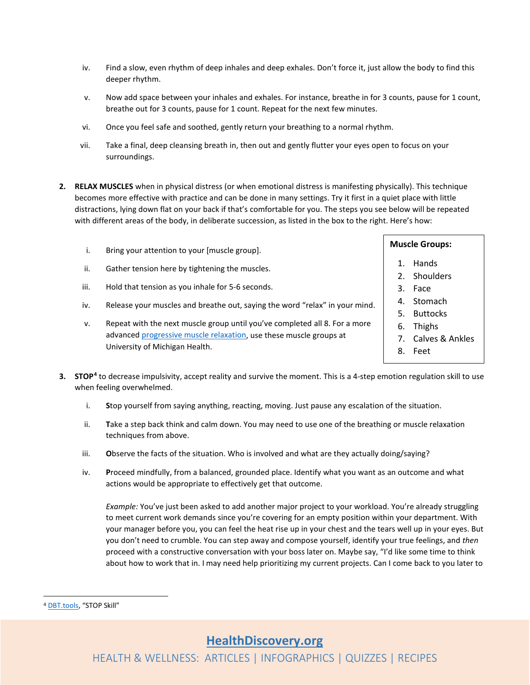- iv. Find a slow, even rhythm of deep inhales and deep exhales. Don't force it, just allow the body to find this deeper rhythm.
- v. Now add space between your inhales and exhales. For instance, breathe in for 3 counts, pause for 1 count, breathe out for 3 counts, pause for 1 count. Repeat for the next few minutes.
- vi. Once you feel safe and soothed, gently return your breathing to a normal rhythm.
- vii. Take a final, deep cleansing breath in, then out and gently flutter your eyes open to focus on your surroundings.
- **2. RELAX MUSCLES** when in physical distress (or when emotional distress is manifesting physically). This technique becomes more effective with practice and can be done in many settings. Try it first in a quiet place with little distractions, lying down flat on your back if that's comfortable for you. The steps you see below will be repeated with different areas of the body, in deliberate succession, as listed in the box to the right. Here's how:
	- i. Bring your attention to your [muscle group].
	- ii. Gather tension here by tightening the muscles.
	- iii. Hold that tension as you inhale for 5-6 seconds.
	- iv. Release your muscles and breathe out, saying the word "relax" in your mind.
	- v. Repeat with the next muscle group until you've completed all 8. For a more advance[d progressive muscle relaxation,](https://www.uofmhealth.org/health-library/uz2225) use these muscle groups at University of Michigan Health.

# **Muscle Groups:**

- 1. Hands
- 2. Shoulders
- 3. Face
- 4. Stomach
- 5. Buttocks
- 6. Thighs
- 7. Calves & Ankles
- 8. Feet
- **3. STOP[4](#page-1-0)** to decrease impulsivity, accept reality and survive the moment. This is a 4-step emotion regulation skill to use when feeling overwhelmed.
	- i. **S**top yourself from saying anything, reacting, moving. Just pause any escalation of the situation.
	- ii. **T**ake a step back think and calm down. You may need to use one of the breathing or muscle relaxation techniques from above.
	- iii. **O**bserve the facts of the situation. Who is involved and what are they actually doing/saying?
	- iv. **P**roceed mindfully, from a balanced, grounded place. Identify what you want as an outcome and what actions would be appropriate to effectively get that outcome.

*Example:* You've just been asked to add another major project to your workload. You're already struggling to meet current work demands since you're covering for an empty position within your department. With your manager before you, you can feel the heat rise up in your chest and the tears well up in your eyes. But you don't need to crumble. You can step away and compose yourself, identify your true feelings, and *then* proceed with a constructive conversation with your boss later on. Maybe say, "I'd like some time to think about how to work that in. I may need help prioritizing my current projects. Can I come back to you later to

<span id="page-1-0"></span><sup>4</sup> [DBT.tools,](https://dbt.tools/emotional_regulation/stop.php) "STOP Skill"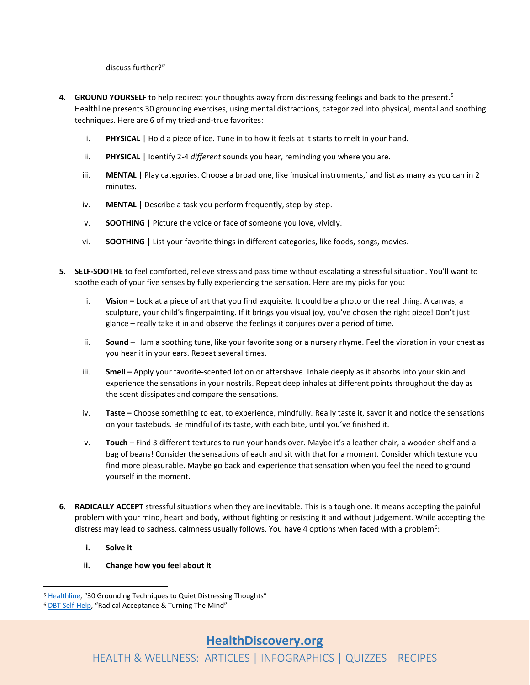discuss further?"

- **4. GROUND YOURSELF** to help redirect your thoughts away from distressing feelings and back to the present. [5](#page-2-0) Healthline presents 30 grounding exercises, using mental distractions, categorized into physical, mental and soothing techniques. Here are 6 of my tried-and-true favorites:
	- i. **PHYSICAL** | Hold a piece of ice. Tune in to how it feels at it starts to melt in your hand.
	- ii. **PHYSICAL** | Identify 2-4 *different* sounds you hear, reminding you where you are.
	- iii. **MENTAL** | Play categories. Choose a broad one, like 'musical instruments,' and list as many as you can in 2 minutes.
	- iv. **MENTAL** | Describe a task you perform frequently, step-by-step.
	- v. **SOOTHING** | Picture the voice or face of someone you love, vividly.
	- vi. **SOOTHING** | List your favorite things in different categories, like foods, songs, movies.
- **5. SELF-SOOTHE** to feel comforted, relieve stress and pass time without escalating a stressful situation. You'll want to soothe each of your five senses by fully experiencing the sensation. Here are my picks for you:
	- i. **Vision –** Look at a piece of art that you find exquisite. It could be a photo or the real thing. A canvas, a sculpture, your child's fingerpainting. If it brings you visual joy, you've chosen the right piece! Don't just glance – really take it in and observe the feelings it conjures over a period of time.
	- ii. **Sound –** Hum a soothing tune, like your favorite song or a nursery rhyme. Feel the vibration in your chest as you hear it in your ears. Repeat several times.
	- iii. **Smell –** Apply your favorite-scented lotion or aftershave. Inhale deeply as it absorbs into your skin and experience the sensations in your nostrils. Repeat deep inhales at different points throughout the day as the scent dissipates and compare the sensations.
	- iv. **Taste –** Choose something to eat, to experience, mindfully. Really taste it, savor it and notice the sensations on your tastebuds. Be mindful of its taste, with each bite, until you've finished it.
	- v. **Touch –** Find 3 different textures to run your hands over. Maybe it's a leather chair, a wooden shelf and a bag of beans! Consider the sensations of each and sit with that for a moment. Consider which texture you find more pleasurable. Maybe go back and experience that sensation when you feel the need to ground yourself in the moment.
- **6. RADICALLY ACCEPT** stressful situations when they are inevitable. This is a tough one. It means accepting the painful problem with your mind, heart and body, without fighting or resisting it and without judgement. While accepting the distress may lead to sadness, calmness usually follows. You have 4 options when faced with a problem<sup>[6](#page-2-1)</sup>:
	- **i. Solve it**
	- **ii. Change how you feel about it**

<span id="page-2-0"></span><sup>5</sup> [Healthline,](https://www.healthline.com/health/grounding-techniques) "30 Grounding Techniques to Quiet Distressing Thoughts"

<span id="page-2-1"></span><sup>6</sup> [DBT Self-Help,](https://dbtselfhelp.com/dbt-skills-list/distress-tolerance/radical-acceptance/) "Radical Acceptance & Turning The Mind"